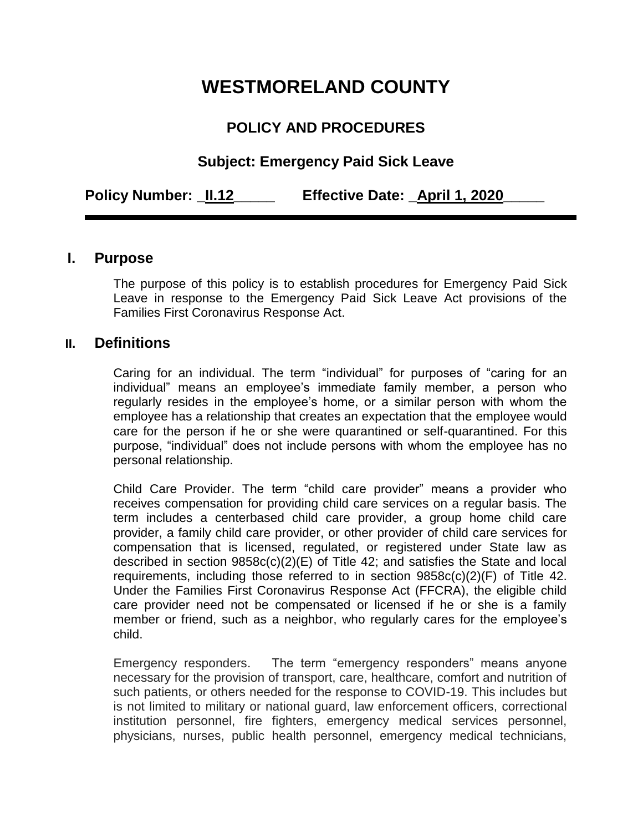# **WESTMORELAND COUNTY**

# **POLICY AND PROCEDURES**

# **Subject: Emergency Paid Sick Leave**

**Policy Number: \_II.12\_\_\_\_\_ Effective Date: \_April 1, 2020\_\_\_\_\_**

#### **I. Purpose**

The purpose of this policy is to establish procedures for Emergency Paid Sick Leave in response to the Emergency Paid Sick Leave Act provisions of the Families First Coronavirus Response Act.

#### **II. Definitions**

Caring for an individual. The term "individual" for purposes of "caring for an individual" means an employee's immediate family member, a person who regularly resides in the employee's home, or a similar person with whom the employee has a relationship that creates an expectation that the employee would care for the person if he or she were quarantined or self-quarantined. For this purpose, "individual" does not include persons with whom the employee has no personal relationship.

Child Care Provider. The term "child care provider" means a provider who receives compensation for providing child care services on a regular basis. The term includes a centerbased child care provider, a group home child care provider, a family child care provider, or other provider of child care services for compensation that is licensed, regulated, or registered under State law as described in section 9858c(c)(2)(E) of Title 42; and satisfies the State and local requirements, including those referred to in section 9858c(c)(2)(F) of Title 42. Under the Families First Coronavirus Response Act (FFCRA), the eligible child care provider need not be compensated or licensed if he or she is a family member or friend, such as a neighbor, who regularly cares for the employee's child.

Emergency responders. The term "emergency responders" means anyone necessary for the provision of transport, care, healthcare, comfort and nutrition of such patients, or others needed for the response to COVID-19. This includes but is not limited to military or national guard, law enforcement officers, correctional institution personnel, fire fighters, emergency medical services personnel, physicians, nurses, public health personnel, emergency medical technicians,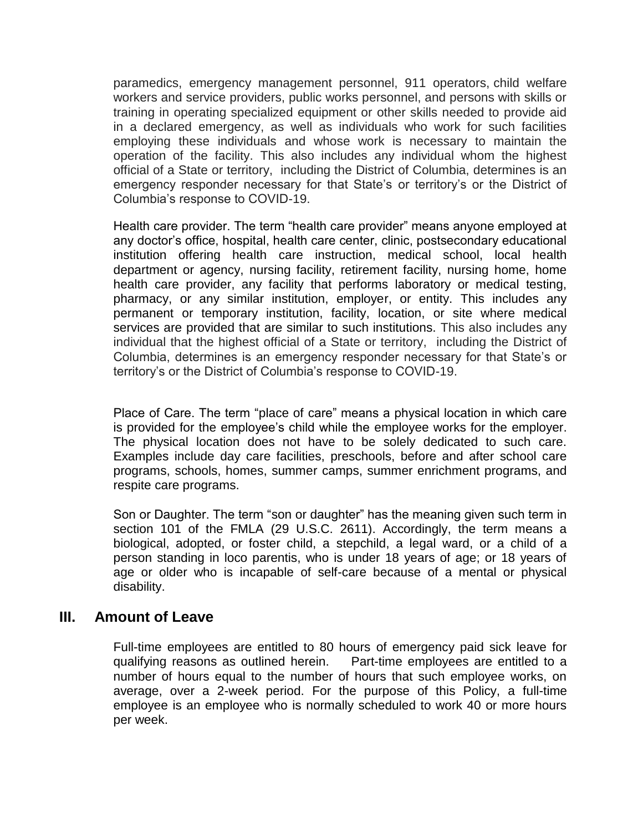paramedics, emergency management personnel, 911 operators, child welfare workers and service providers, public works personnel, and persons with skills or training in operating specialized equipment or other skills needed to provide aid in a declared emergency, as well as individuals who work for such facilities employing these individuals and whose work is necessary to maintain the operation of the facility. This also includes any individual whom the highest official of a State or territory, including the District of Columbia, determines is an emergency responder necessary for that State's or territory's or the District of Columbia's response to COVID-19.

Health care provider. The term "health care provider" means anyone employed at any doctor's office, hospital, health care center, clinic, postsecondary educational institution offering health care instruction, medical school, local health department or agency, nursing facility, retirement facility, nursing home, home health care provider, any facility that performs laboratory or medical testing, pharmacy, or any similar institution, employer, or entity. This includes any permanent or temporary institution, facility, location, or site where medical services are provided that are similar to such institutions. This also includes any individual that the highest official of a State or territory, including the District of Columbia, determines is an emergency responder necessary for that State's or territory's or the District of Columbia's response to COVID-19.

Place of Care. The term "place of care" means a physical location in which care is provided for the employee's child while the employee works for the employer. The physical location does not have to be solely dedicated to such care. Examples include day care facilities, preschools, before and after school care programs, schools, homes, summer camps, summer enrichment programs, and respite care programs.

Son or Daughter. The term "son or daughter" has the meaning given such term in section 101 of the FMLA (29 U.S.C. 2611). Accordingly, the term means a biological, adopted, or foster child, a stepchild, a legal ward, or a child of a person standing in loco parentis, who is under 18 years of age; or 18 years of age or older who is incapable of self-care because of a mental or physical disability.

#### **III. Amount of Leave**

Full-time employees are entitled to 80 hours of emergency paid sick leave for qualifying reasons as outlined herein. Part-time employees are entitled to a number of hours equal to the number of hours that such employee works, on average, over a 2-week period. For the purpose of this Policy, a full-time employee is an employee who is normally scheduled to work 40 or more hours per week.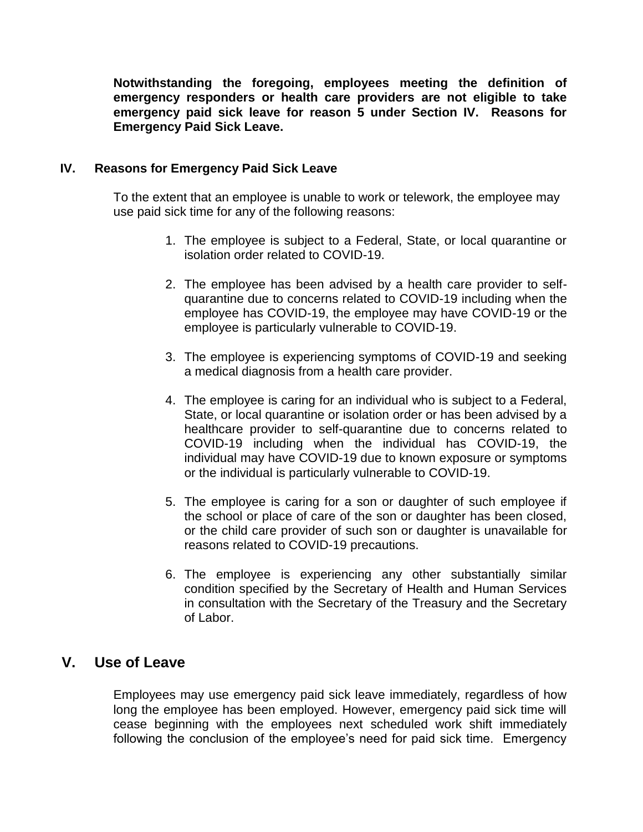**Notwithstanding the foregoing, employees meeting the definition of emergency responders or health care providers are not eligible to take emergency paid sick leave for reason 5 under Section IV. Reasons for Emergency Paid Sick Leave.** 

#### **IV. Reasons for Emergency Paid Sick Leave**

To the extent that an employee is unable to work or telework, the employee may use paid sick time for any of the following reasons:

- 1. The employee is subject to a Federal, State, or local quarantine or isolation order related to COVID-19.
- 2. The employee has been advised by a health care provider to selfquarantine due to concerns related to COVID-19 including when the employee has COVID-19, the employee may have COVID-19 or the employee is particularly vulnerable to COVID-19.
- 3. The employee is experiencing symptoms of COVID-19 and seeking a medical diagnosis from a health care provider.
- 4. The employee is caring for an individual who is subject to a Federal, State, or local quarantine or isolation order or has been advised by a healthcare provider to self-quarantine due to concerns related to COVID-19 including when the individual has COVID-19, the individual may have COVID-19 due to known exposure or symptoms or the individual is particularly vulnerable to COVID-19.
- 5. The employee is caring for a son or daughter of such employee if the school or place of care of the son or daughter has been closed, or the child care provider of such son or daughter is unavailable for reasons related to COVID-19 precautions.
- 6. The employee is experiencing any other substantially similar condition specified by the Secretary of Health and Human Services in consultation with the Secretary of the Treasury and the Secretary of Labor.

## **V. Use of Leave**

Employees may use emergency paid sick leave immediately, regardless of how long the employee has been employed. However, emergency paid sick time will cease beginning with the employees next scheduled work shift immediately following the conclusion of the employee's need for paid sick time. Emergency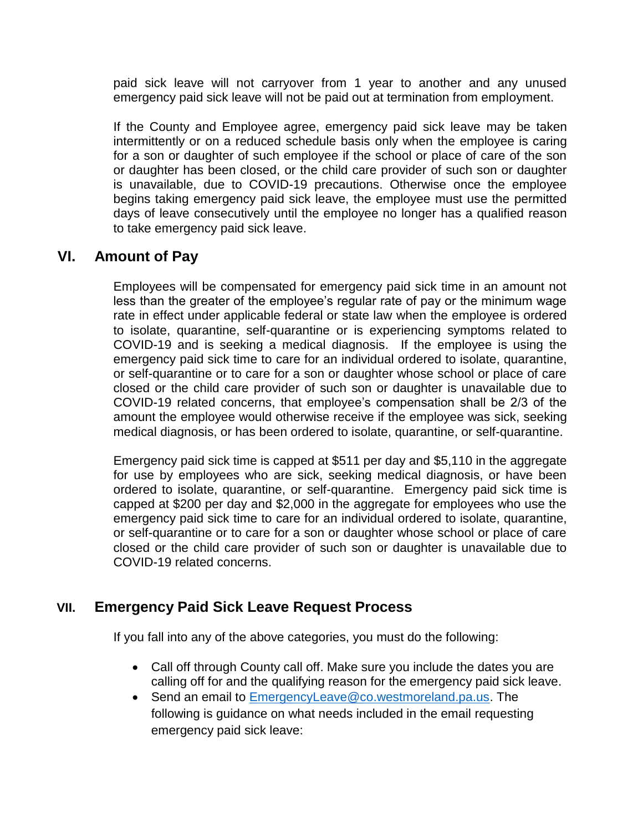paid sick leave will not carryover from 1 year to another and any unused emergency paid sick leave will not be paid out at termination from employment.

If the County and Employee agree, emergency paid sick leave may be taken intermittently or on a reduced schedule basis only when the employee is caring for a son or daughter of such employee if the school or place of care of the son or daughter has been closed, or the child care provider of such son or daughter is unavailable, due to COVID-19 precautions. Otherwise once the employee begins taking emergency paid sick leave, the employee must use the permitted days of leave consecutively until the employee no longer has a qualified reason to take emergency paid sick leave.

# **VI. Amount of Pay**

Employees will be compensated for emergency paid sick time in an amount not less than the greater of the employee's regular rate of pay or the minimum wage rate in effect under applicable federal or state law when the employee is ordered to isolate, quarantine, self-quarantine or is experiencing symptoms related to COVID-19 and is seeking a medical diagnosis. If the employee is using the emergency paid sick time to care for an individual ordered to isolate, quarantine, or self-quarantine or to care for a son or daughter whose school or place of care closed or the child care provider of such son or daughter is unavailable due to COVID-19 related concerns, that employee's compensation shall be 2/3 of the amount the employee would otherwise receive if the employee was sick, seeking medical diagnosis, or has been ordered to isolate, quarantine, or self-quarantine.

Emergency paid sick time is capped at \$511 per day and \$5,110 in the aggregate for use by employees who are sick, seeking medical diagnosis, or have been ordered to isolate, quarantine, or self-quarantine. Emergency paid sick time is capped at \$200 per day and \$2,000 in the aggregate for employees who use the emergency paid sick time to care for an individual ordered to isolate, quarantine, or self-quarantine or to care for a son or daughter whose school or place of care closed or the child care provider of such son or daughter is unavailable due to COVID-19 related concerns.

## **VII. Emergency Paid Sick Leave Request Process**

If you fall into any of the above categories, you must do the following:

- Call off through County call off. Make sure you include the dates you are calling off for and the qualifying reason for the emergency paid sick leave.
- Send an email to [EmergencyLeave@co.westmoreland.pa.us.](mailto:EmergencyLeave@co.westmoreland.pa.us) The following is guidance on what needs included in the email requesting emergency paid sick leave: